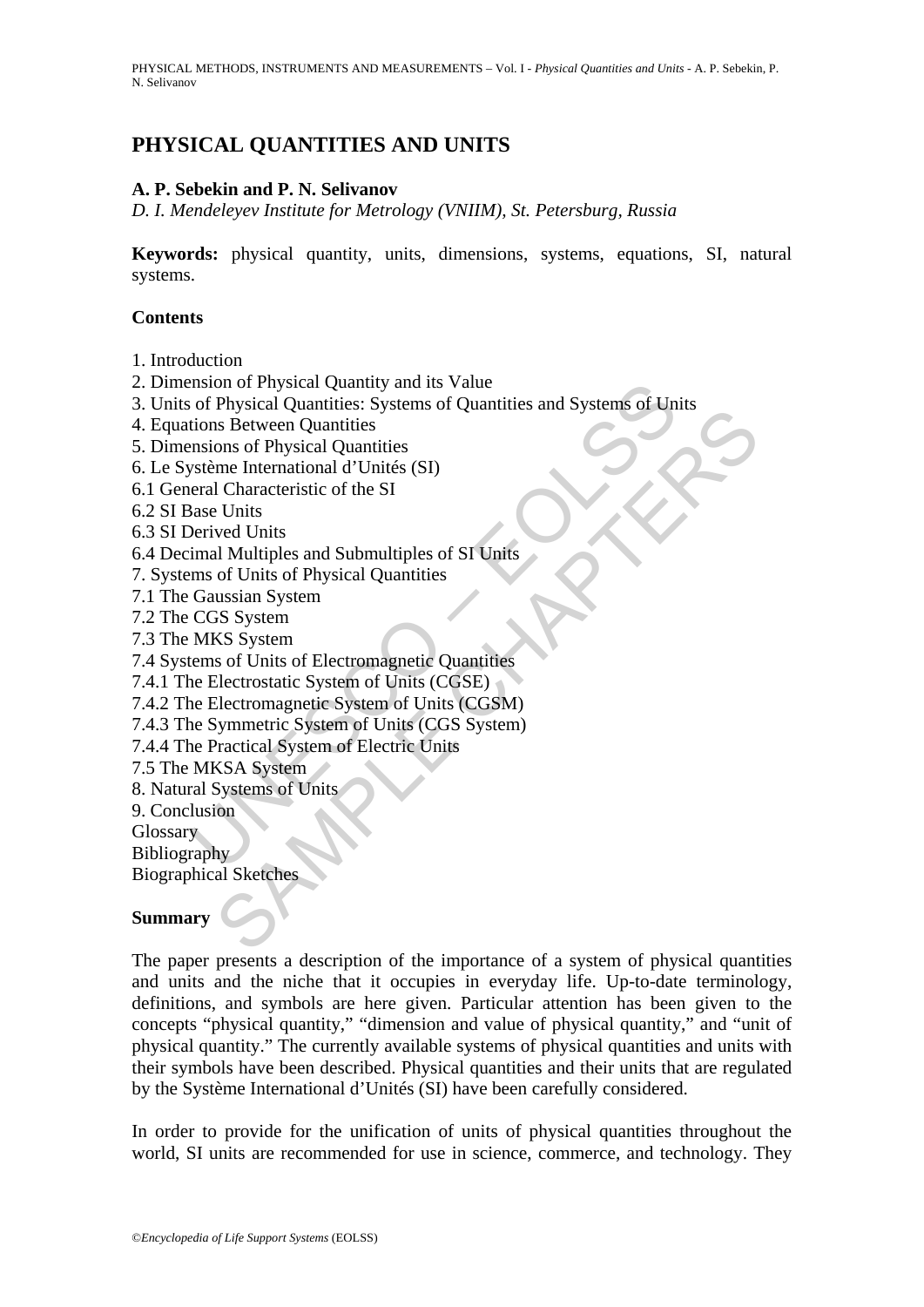PHYSICAL METHODS, INSTRUMENTS AND MEASUREMENTS – Vol. I - *Physical Quantities and Units* - A. P. Sebekin, P. N. Selivanov

# **PHYSICAL QUANTITIES AND UNITS**

### **A. P. Sebekin and P. N. Selivanov**

*D. I. Mendeleyev Institute for Metrology (VNIIM), St. Petersburg, Russia* 

**Keywords:** physical quantity, units, dimensions, systems, equations, SI, natural systems.

### **Contents**

- 1. Introduction
- 2. Dimension of Physical Quantity and its Value
- monor of Physical Quantity and its Value<br>of Physical Quantities: Systems of Quantities and Systems of Un<br>tions Between Quantities<br>misions of Physical Quantities<br>système International d'Unités (SI)<br>real Characteristic of th 3. Units of Physical Quantities: Systems of Quantities and Systems of Units
- 4. Equations Between Quantities
- 5. Dimensions of Physical Quantities
- 6. Le Système International d'Unités (SI)
- 6.1 General Characteristic of the SI
- 6.2 SI Base Units
- 6.3 SI Derived Units
- 6.4 Decimal Multiples and Submultiples of SI Units
- 7. Systems of Units of Physical Quantities
- 7.1 The Gaussian System
- 7.2 The CGS System
- 7.3 The MKS System
- Frigonal Quantities. Jystems of Quantities<br>is Between Quantities<br>ons of Physical Quantities<br>ons of Physical Quantities<br>ons of Physical Quantities<br> $U$  Units<br> $V$  Units<br> $V$  Units<br> $V$  Units<br> $V$  Units<br> $V$  Units<br> $V$  Units<br> $V$  Un 7.4 Systems of Units of Electromagnetic Quantities
- 7.4.1 The Electrostatic System of Units (CGSE)
- 7.4.2 The Electromagnetic System of Units (CGSM)
- 7.4.3 The Symmetric System of Units (CGS System)
- 7.4.4 The Practical System of Electric Units
- 7.5 The MKSA System
- 8. Natural Systems of Units
- 9. Conclusion
- **Glossary**
- Bibliography

Biographical Sketches

### **Summary**

The paper presents a description of the importance of a system of physical quantities and units and the niche that it occupies in everyday life. Up-to-date terminology, definitions, and symbols are here given. Particular attention has been given to the concepts "physical quantity," "dimension and value of physical quantity," and "unit of physical quantity." The currently available systems of physical quantities and units with their symbols have been described. Physical quantities and their units that are regulated by the Système International d'Unités (SI) have been carefully considered.

In order to provide for the unification of units of physical quantities throughout the world, SI units are recommended for use in science, commerce, and technology. They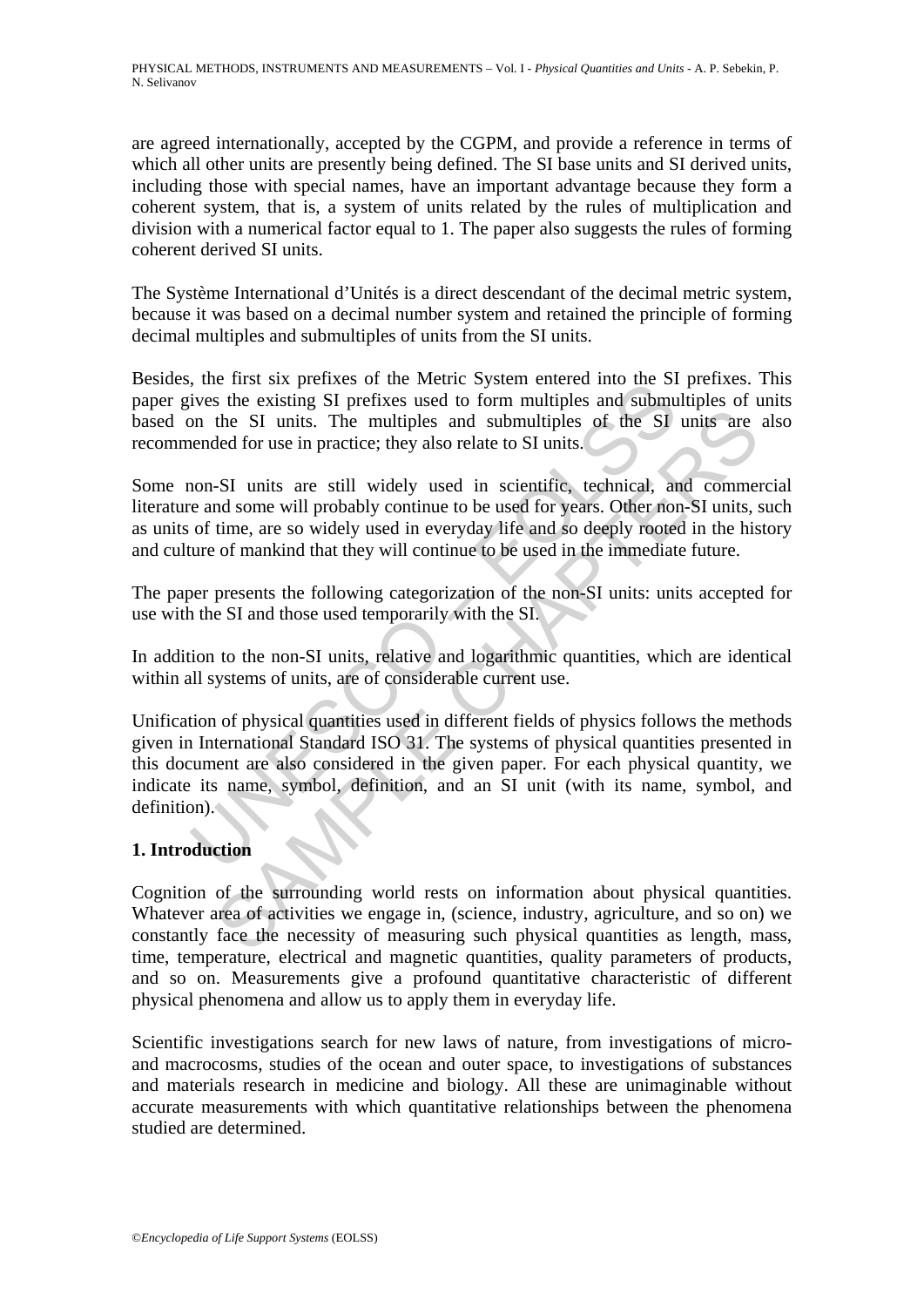are agreed internationally, accepted by the CGPM, and provide a reference in terms of which all other units are presently being defined. The SI base units and SI derived units, including those with special names, have an important advantage because they form a coherent system, that is, a system of units related by the rules of multiplication and division with a numerical factor equal to 1. The paper also suggests the rules of forming coherent derived SI units.

The Système International d'Unités is a direct descendant of the decimal metric system, because it was based on a decimal number system and retained the principle of forming decimal multiples and submultiples of units from the SI units.

Besides, the first six prefixes of the Metric System entered into the SI prefixes. This paper gives the existing SI prefixes used to form multiples and submultiples of units based on the SI units. The multiples and submultiples of the SI units are also recommended for use in practice; they also relate to SI units.

Some non-SI units are still widely used in scientific, technical, and commercial literature and some will probably continue to be used for years. Other non-SI units, such as units of time, are so widely used in everyday life and so deeply rooted in the history and culture of mankind that they will continue to be used in the immediate future.

The paper presents the following categorization of the non-SI units: units accepted for use with the SI and those used temporarily with the SI.

In addition to the non-SI units, relative and logarithmic quantities, which are identical within all systems of units, are of considerable current use.

the mist six perfines of the weath exysted entered into the six<br>ives the existing SI prefixes used to form multiples and submu<br>on the SI units. The multiples and submultiples of the SI<br>tended for use in practice; they also the SI units. The multiples and submultiples of the SI units are<br>the SI units. The multiples and submultiples of the SI units are<br>eld for use in practice; they also relate to SI units.<br>-SI units are still widely used in sc Unification of physical quantities used in different fields of physics follows the methods given in International Standard ISO 31. The systems of physical quantities presented in this document are also considered in the given paper. For each physical quantity, we indicate its name, symbol, definition, and an SI unit (with its name, symbol, and definition).

## **1. Introduction**

Cognition of the surrounding world rests on information about physical quantities. Whatever area of activities we engage in, (science, industry, agriculture, and so on) we constantly face the necessity of measuring such physical quantities as length, mass, time, temperature, electrical and magnetic quantities, quality parameters of products, and so on. Measurements give a profound quantitative characteristic of different physical phenomena and allow us to apply them in everyday life.

Scientific investigations search for new laws of nature, from investigations of microand macrocosms, studies of the ocean and outer space, to investigations of substances and materials research in medicine and biology. All these are unimaginable without accurate measurements with which quantitative relationships between the phenomena studied are determined.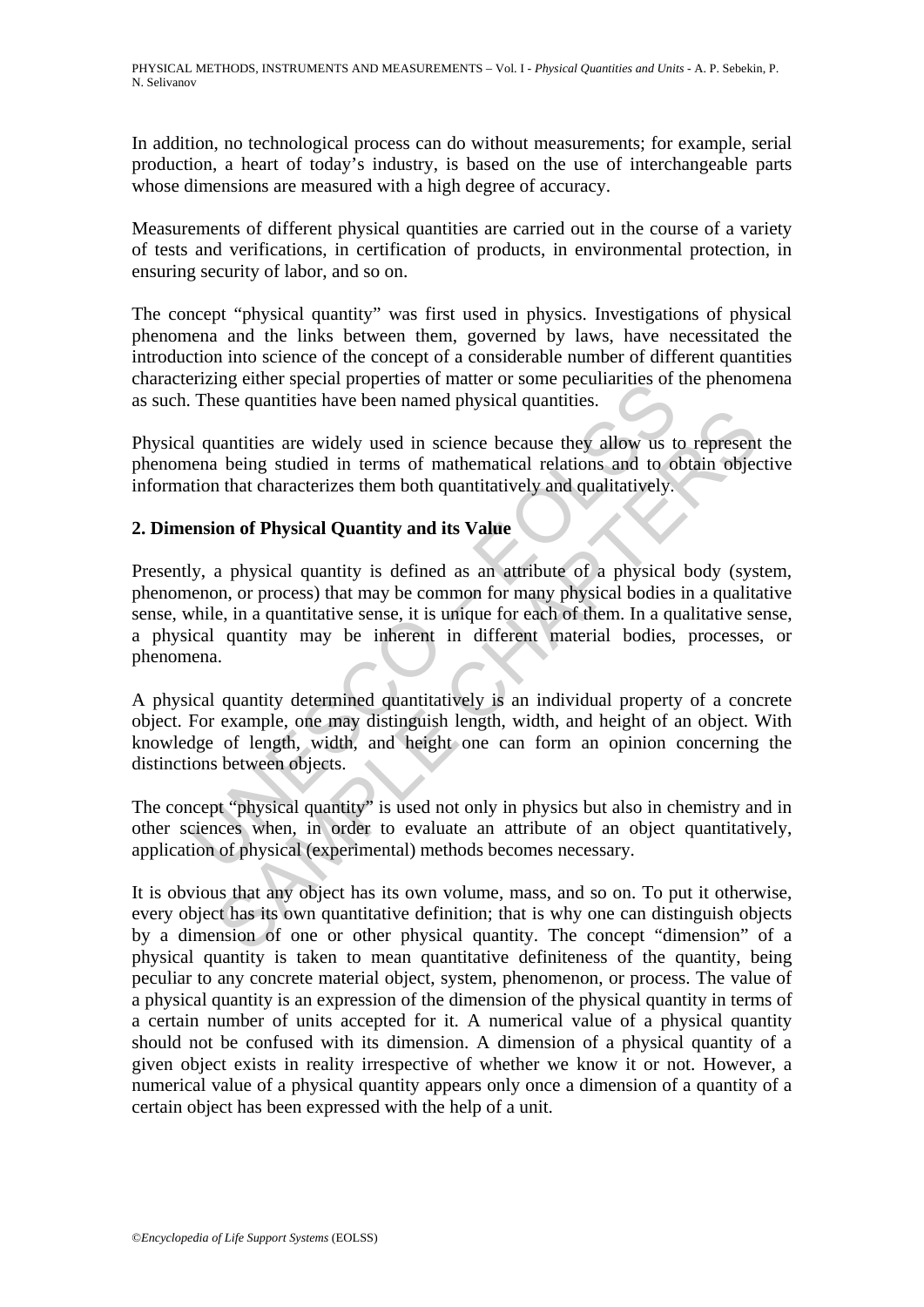In addition, no technological process can do without measurements; for example, serial production, a heart of today's industry, is based on the use of interchangeable parts whose dimensions are measured with a high degree of accuracy.

Measurements of different physical quantities are carried out in the course of a variety of tests and verifications, in certification of products, in environmental protection, in ensuring security of labor, and so on.

The concept "physical quantity" was first used in physics. Investigations of physical phenomena and the links between them, governed by laws, have necessitated the introduction into science of the concept of a considerable number of different quantities characterizing either special properties of matter or some peculiarities of the phenomena as such. These quantities have been named physical quantities.

Physical quantities are widely used in science because they allow us to represent the phenomena being studied in terms of mathematical relations and to obtain objective information that characterizes them both quantitatively and qualitatively.

### **2. Dimension of Physical Quantity and its Value**

The particular properties of matter of some pecunatities of<br>These quantities have been named physical quantities.<br>1 quantities are widely used in science because they allow us to<br>the mate being studied in terms of mathemat The quantities are widely used in science because they allow us to represent<br>the being studied in terms of mathematical relations and to obtain object<br>that characterizes them both quantitatively and qualitatively.<br>**Solutio** Presently, a physical quantity is defined as an attribute of a physical body (system, phenomenon, or process) that may be common for many physical bodies in a qualitative sense, while, in a quantitative sense, it is unique for each of them. In a qualitative sense, a physical quantity may be inherent in different material bodies, processes, or phenomena.

A physical quantity determined quantitatively is an individual property of a concrete object. For example, one may distinguish length, width, and height of an object. With knowledge of length, width, and height one can form an opinion concerning the distinctions between objects.

The concept "physical quantity" is used not only in physics but also in chemistry and in other sciences when, in order to evaluate an attribute of an object quantitatively, application of physical (experimental) methods becomes necessary.

It is obvious that any object has its own volume, mass, and so on. To put it otherwise, every object has its own quantitative definition; that is why one can distinguish objects by a dimension of one or other physical quantity. The concept "dimension" of a physical quantity is taken to mean quantitative definiteness of the quantity, being peculiar to any concrete material object, system, phenomenon, or process. The value of a physical quantity is an expression of the dimension of the physical quantity in terms of a certain number of units accepted for it. A numerical value of a physical quantity should not be confused with its dimension. A dimension of a physical quantity of a given object exists in reality irrespective of whether we know it or not. However, a numerical value of a physical quantity appears only once a dimension of a quantity of a certain object has been expressed with the help of a unit.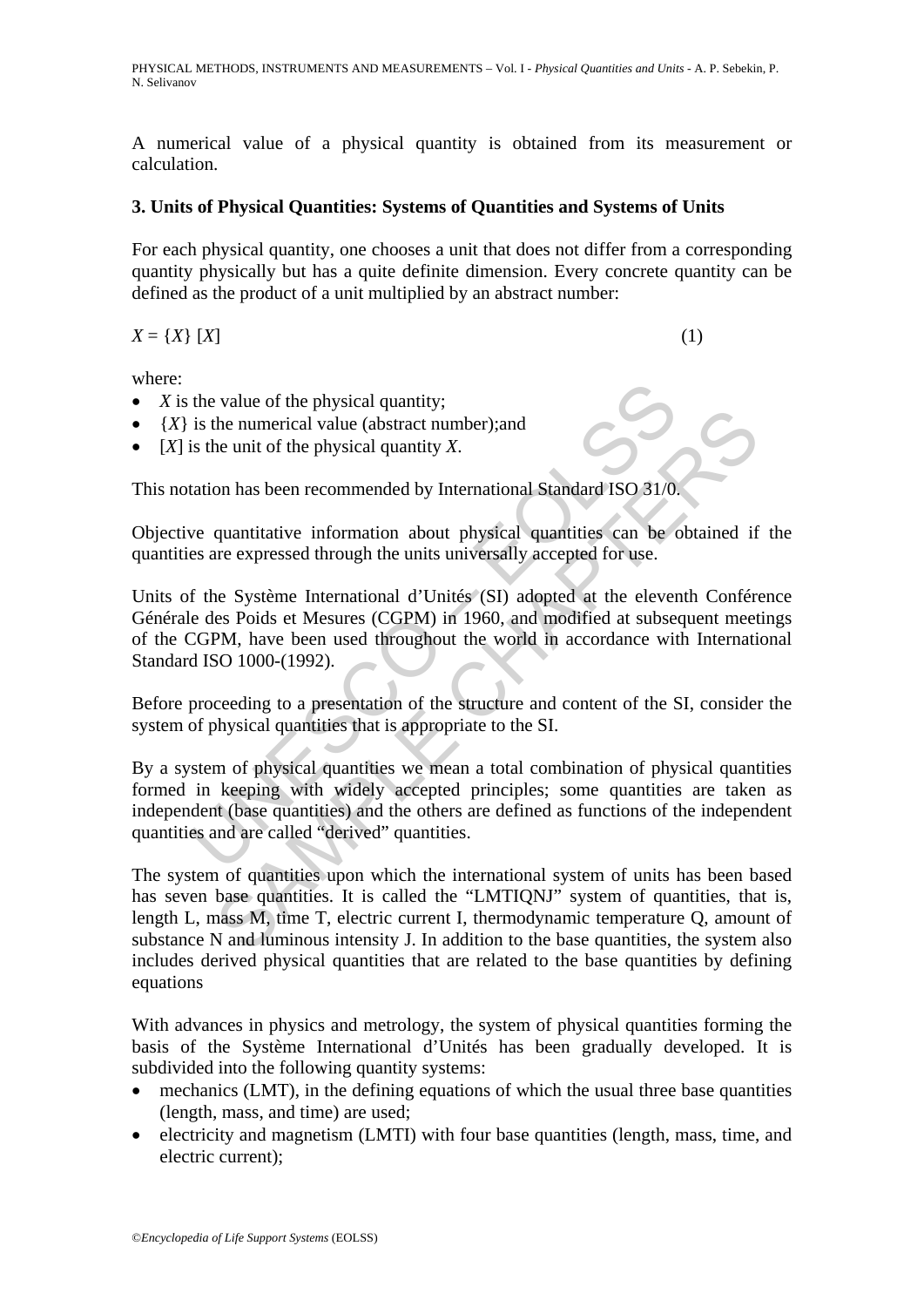A numerical value of a physical quantity is obtained from its measurement or calculation.

### **3. Units of Physical Quantities: Systems of Quantities and Systems of Units**

For each physical quantity, one chooses a unit that does not differ from a corresponding quantity physically but has a quite definite dimension. Every concrete quantity can be defined as the product of a unit multiplied by an abstract number:

$$
X = \{X\} \ [X] \tag{1}
$$

where:

- *X* is the value of the physical quantity;
- ${X}$  is the numerical value (abstract number); and
- [*X*] is the unit of the physical quantity *X*.

This notation has been recommended by International Standard ISO 31/0.

Objective quantitative information about physical quantities can be obtained if the quantities are expressed through the units universally accepted for use.

the value of the physical quantity;<br>is the numerical value (abstract number);and<br>is the unit of the physical quantity X.<br>tation has been recommended by International Standard ISO 31/0.<br>ve quantitative information about phy Units of the Système International d'Unités (SI) adopted at the eleventh Conférence Générale des Poids et Mesures (CGPM) in 1960, and modified at subsequent meetings of the CGPM, have been used throughout the world in accordance with International Standard ISO 1000-(1992).

Before proceeding to a presentation of the structure and content of the SI, consider the system of physical quantities that is appropriate to the SI.

By a system of physical quantities we mean a total combination of physical quantities formed in keeping with widely accepted principles; some quantities are taken as independent (base quantities) and the others are defined as functions of the independent quantities and are called "derived" quantities.

Frame of the numerical value (abstract number); and<br>the numerical value (abstract number); and<br>the numerical value (abstract number); and<br>quantitative information about physical quantities can be obtained if<br>recepted thro The system of quantities upon which the international system of units has been based has seven base quantities. It is called the "LMTIQNJ" system of quantities, that is, length L, mass M, time T, electric current I, thermodynamic temperature Q, amount of substance N and luminous intensity J. In addition to the base quantities, the system also includes derived physical quantities that are related to the base quantities by defining equations

With advances in physics and metrology, the system of physical quantities forming the basis of the Système International d'Unités has been gradually developed. It is subdivided into the following quantity systems:

- mechanics (LMT), in the defining equations of which the usual three base quantities (length, mass, and time) are used;
- electricity and magnetism (LMTI) with four base quantities (length, mass, time, and electric current);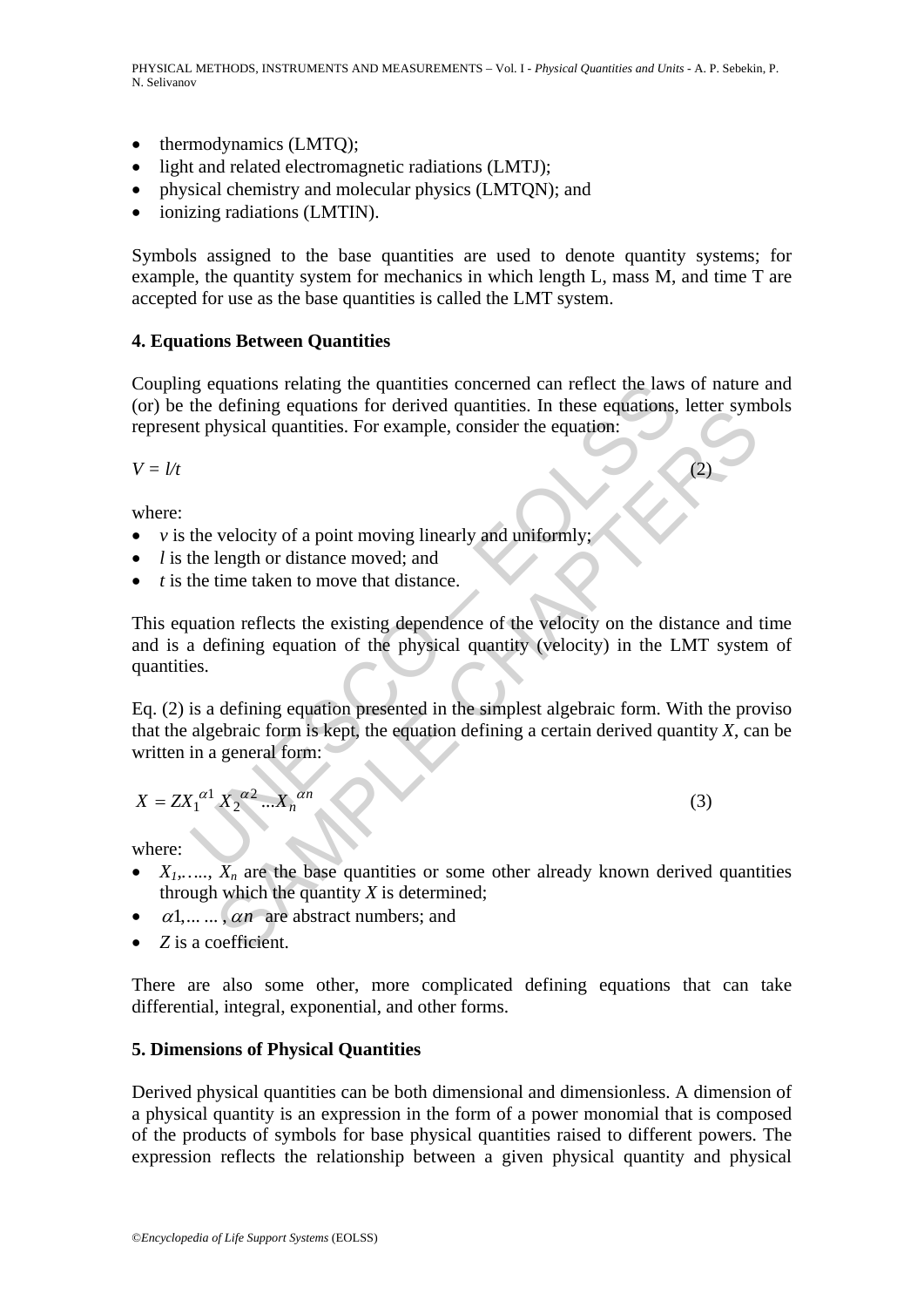- thermodynamics (LMTQ);
- light and related electromagnetic radiations (LMTJ);
- physical chemistry and molecular physics (LMTQN); and
- ionizing radiations (LMTIN).

Symbols assigned to the base quantities are used to denote quantity systems; for example, the quantity system for mechanics in which length L, mass M, and time T are accepted for use as the base quantities is called the LMT system.

### **4. Equations Between Quantities**

Coupling equations relating the quantities concerned can reflect the laws of nature and (or) be the defining equations for derived quantities. In these equations, letter symbols represent physical quantities. For example, consider the equation:

 $V = l/t$  (2)

where:

- *v* is the velocity of a point moving linearly and uniformly;
- *l* is the length or distance moved; and
- *t* is the time taken to move that distance.

is equations relating the quantities concerned can reflect the law<br>the defining equations for derived quantities. In these equations,<br>it physical quantities. For example, consider the equation:<br>the velocity of a point mov defining equations for derived quantumes. In these equations, leader the symptosical quantities. For example, consider the equation:<br>
length or distance moved; and<br>
time taken to move that distance.<br>
(on reflects the exis This equation reflects the existing dependence of the velocity on the distance and time and is a defining equation of the physical quantity (velocity) in the LMT system of quantities.

Eq. (2) is a defining equation presented in the simplest algebraic form. With the proviso that the algebraic form is kept, the equation defining a certain derived quantity *X*, can be written in a general form:

$$
X = Z X_1^{\alpha 1} X_2^{\alpha 2} ... X_n^{\alpha n}
$$
 (3)

where:

- $X_1, \ldots, X_n$  are the base quantities or some other already known derived quantities through which the quantity *X* is determined;
- $\alpha$ 1,... ...,  $\alpha$ *n* are abstract numbers; and
- *Z* is a coefficient.

There are also some other, more complicated defining equations that can take differential, integral, exponential, and other forms.

### **5. Dimensions of Physical Quantities**

Derived physical quantities can be both dimensional and dimensionless. A dimension of a physical quantity is an expression in the form of a power monomial that is composed of the products of symbols for base physical quantities raised to different powers. The expression reflects the relationship between a given physical quantity and physical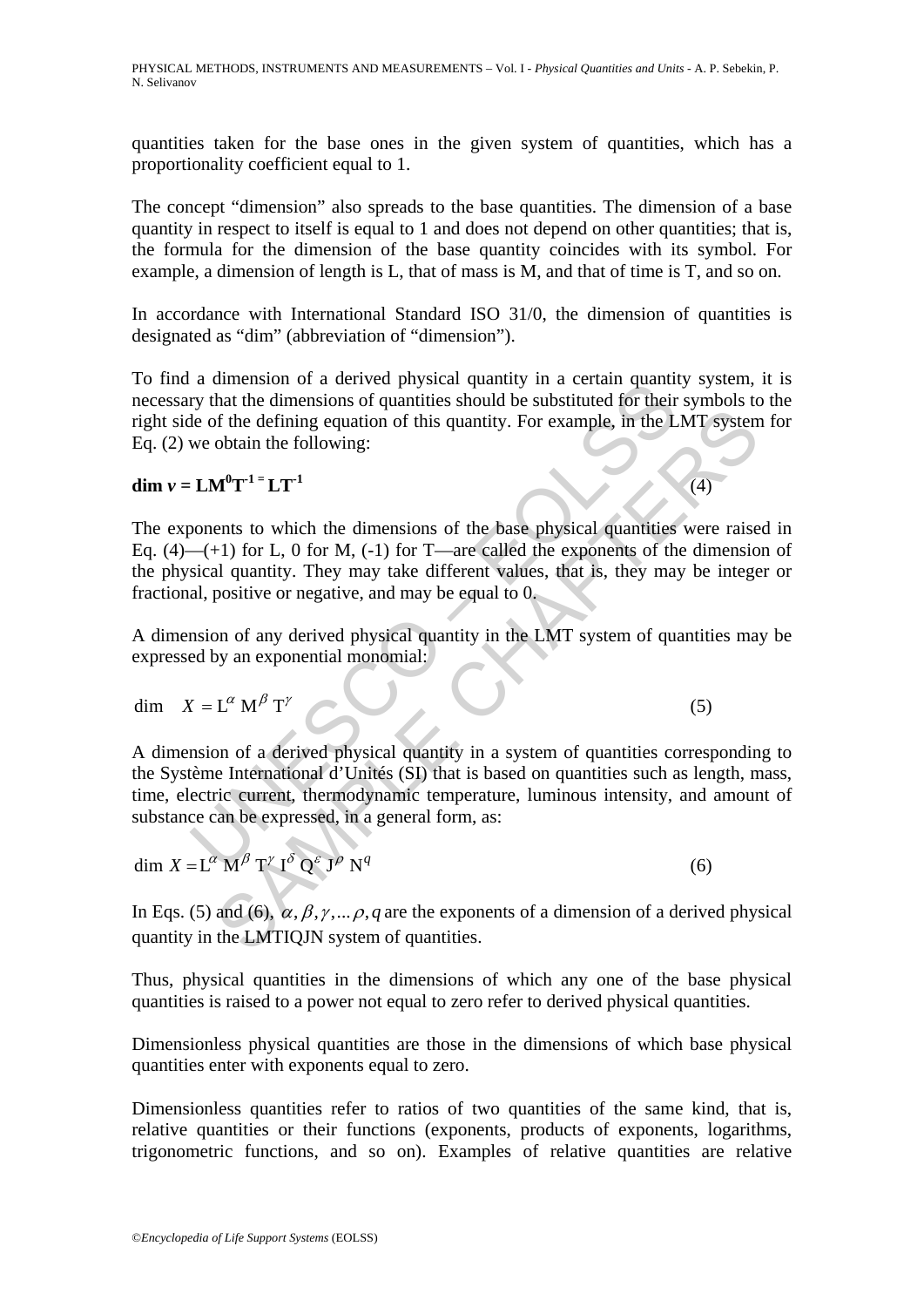quantities taken for the base ones in the given system of quantities, which has a proportionality coefficient equal to 1.

The concept "dimension" also spreads to the base quantities. The dimension of a base quantity in respect to itself is equal to 1 and does not depend on other quantities; that is, the formula for the dimension of the base quantity coincides with its symbol. For example, a dimension of length is L, that of mass is M, and that of time is T, and so on.

In accordance with International Standard ISO 31/0, the dimension of quantities is designated as "dim" (abbreviation of "dimension").

To find a dimension of a derived physical quantity in a certain quantity system, it is necessary that the dimensions of quantities should be substituted for their symbols to the right side of the defining equation of this quantity. For example, in the LMT system for Eq. (2) we obtain the following:

**dim**  $v = LM^0T^{-1} = LT^{-1}$  (4)

The exponents to which the dimensions of the base physical quantities were raised in Eq.  $(4)$ — $(+1)$  for L, 0 for M,  $(-1)$  for T—are called the exponents of the dimension of the physical quantity. They may take different values, that is, they may be integer or fractional, positive or negative, and may be equal to 0.

A dimension of any derived physical quantity in the LMT system of quantities may be expressed by an exponential monomial:

$$
\dim X = L^{\alpha} M^{\beta} T^{\gamma} \tag{5}
$$

a dimension of a derived physical quantity in a certain duality<br>try that the dimensions of quantities should be substituted for their<br>le of the defining equation of this quantity. For example, in the L<br>we obtain the follo of the defining equation of this quantity. For example, in the LMT system<br>obtain the following:<br> $M^0T^{-1} = LT^{-1}$  (4)<br>ents to which the dimensions of the base physical quantities were raise<br> $M^0T^{-1} = LT^{-1}$  (4)<br>for L, 0 for M, A dimension of a derived physical quantity in a system of quantities corresponding to the Système International d'Unités (SI) that is based on quantities such as length, mass, time, electric current, thermodynamic temperature, luminous intensity, and amount of substance can be expressed, in a general form, as:

$$
\dim X = L^{\alpha} M^{\beta} T^{\gamma} I^{\delta} Q^{\epsilon} J^{\rho} N^{q}
$$
\n(6)

In Eqs. (5) and (6),  $\alpha$ ,  $\beta$ ,  $\gamma$ ,...,  $\rho$ ,  $q$  are the exponents of a dimension of a derived physical quantity in the LMTIQJN system of quantities.

Thus, physical quantities in the dimensions of which any one of the base physical quantities is raised to a power not equal to zero refer to derived physical quantities.

Dimensionless physical quantities are those in the dimensions of which base physical quantities enter with exponents equal to zero.

Dimensionless quantities refer to ratios of two quantities of the same kind, that is, relative quantities or their functions (exponents, products of exponents, logarithms, trigonometric functions, and so on). Examples of relative quantities are relative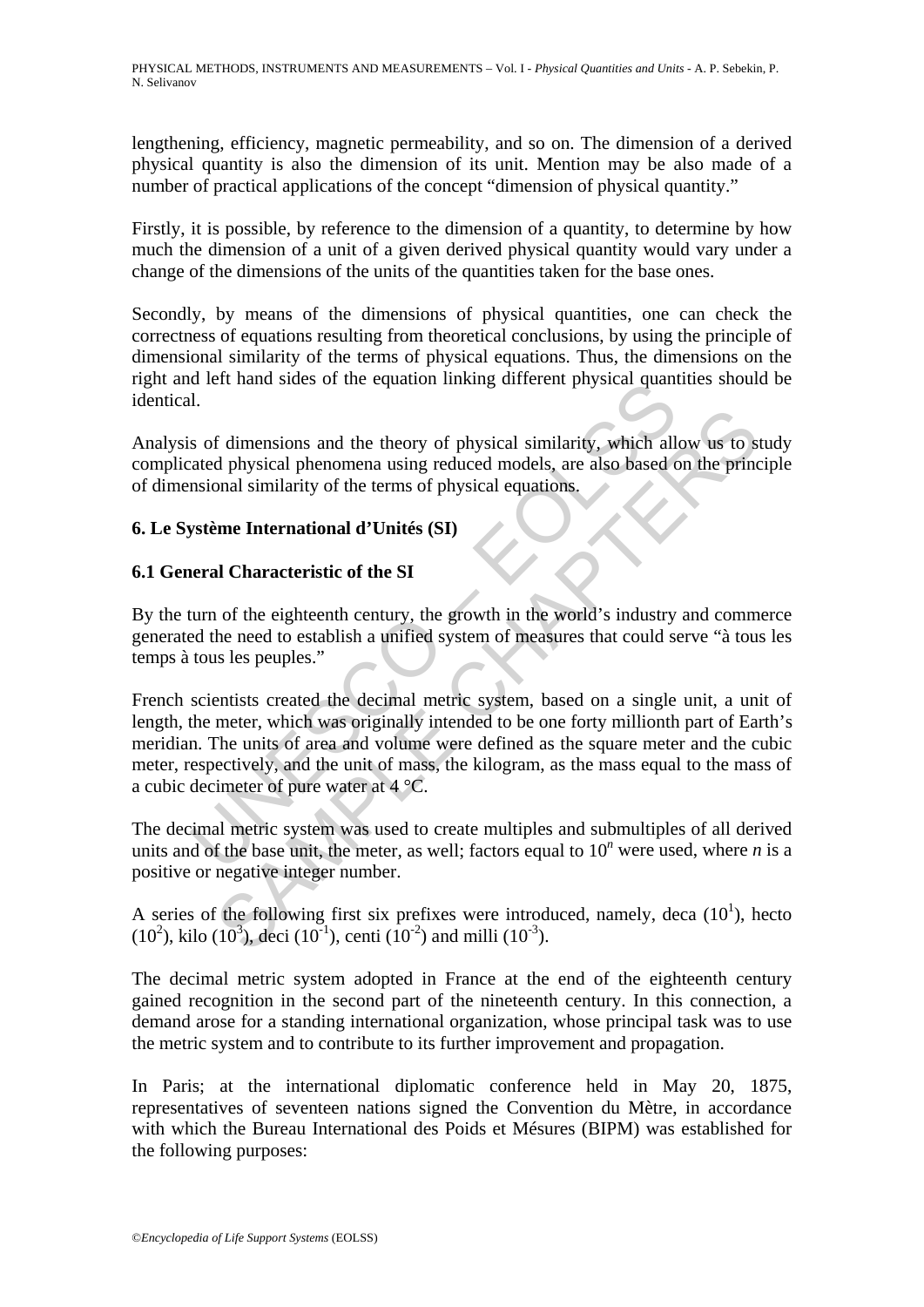lengthening, efficiency, magnetic permeability, and so on. The dimension of a derived physical quantity is also the dimension of its unit. Mention may be also made of a number of practical applications of the concept "dimension of physical quantity."

Firstly, it is possible, by reference to the dimension of a quantity, to determine by how much the dimension of a unit of a given derived physical quantity would vary under a change of the dimensions of the units of the quantities taken for the base ones.

Secondly, by means of the dimensions of physical quantities, one can check the correctness of equations resulting from theoretical conclusions, by using the principle of dimensional similarity of the terms of physical equations. Thus, the dimensions on the right and left hand sides of the equation linking different physical quantities should be identical.

Analysis of dimensions and the theory of physical similarity, which allow us to study complicated physical phenomena using reduced models, are also based on the principle of dimensional similarity of the terms of physical equations.

## **6. Le Système International d'Unités (SI)**

## **6.1 General Characteristic of the SI**

By the turn of the eighteenth century, the growth in the world's industry and commerce generated the need to establish a unified system of measures that could serve "à tous les temps à tous les peuples."

I.<br>
So of dimensions and the theory of physical similarity, which all<br>
1.<br>
So of dimensions and the theory of physical similarity, which all<br>
atated physical phenomena using reduced models, are also based consional simila f dimensions and the theory of physical similarity, which allow us to star also physical phenomena using reduced models, are also based on the principal similarity of the terms of physical equations.<br> **EVALUATE:** The term French scientists created the decimal metric system, based on a single unit, a unit of length, the meter, which was originally intended to be one forty millionth part of Earth's meridian. The units of area and volume were defined as the square meter and the cubic meter, respectively, and the unit of mass, the kilogram, as the mass equal to the mass of a cubic decimeter of pure water at 4 °C.

The decimal metric system was used to create multiples and submultiples of all derived units and of the base unit, the meter, as well; factors equal to  $10^n$  were used, where *n* is a positive or negative integer number.

A series of the following first six prefixes were introduced, namely, deca  $(10<sup>1</sup>)$ , hecto  $(10^2)$ , kilo  $(10^3)$ , deci  $(10^{-1})$ , centi  $(10^{-2})$  and milli  $(10^{-3})$ .

The decimal metric system adopted in France at the end of the eighteenth century gained recognition in the second part of the nineteenth century. In this connection, a demand arose for a standing international organization, whose principal task was to use the metric system and to contribute to its further improvement and propagation.

In Paris; at the international diplomatic conference held in May 20, 1875, representatives of seventeen nations signed the Convention du Mètre, in accordance with which the Bureau International des Poids et Mésures (BIPM) was established for the following purposes: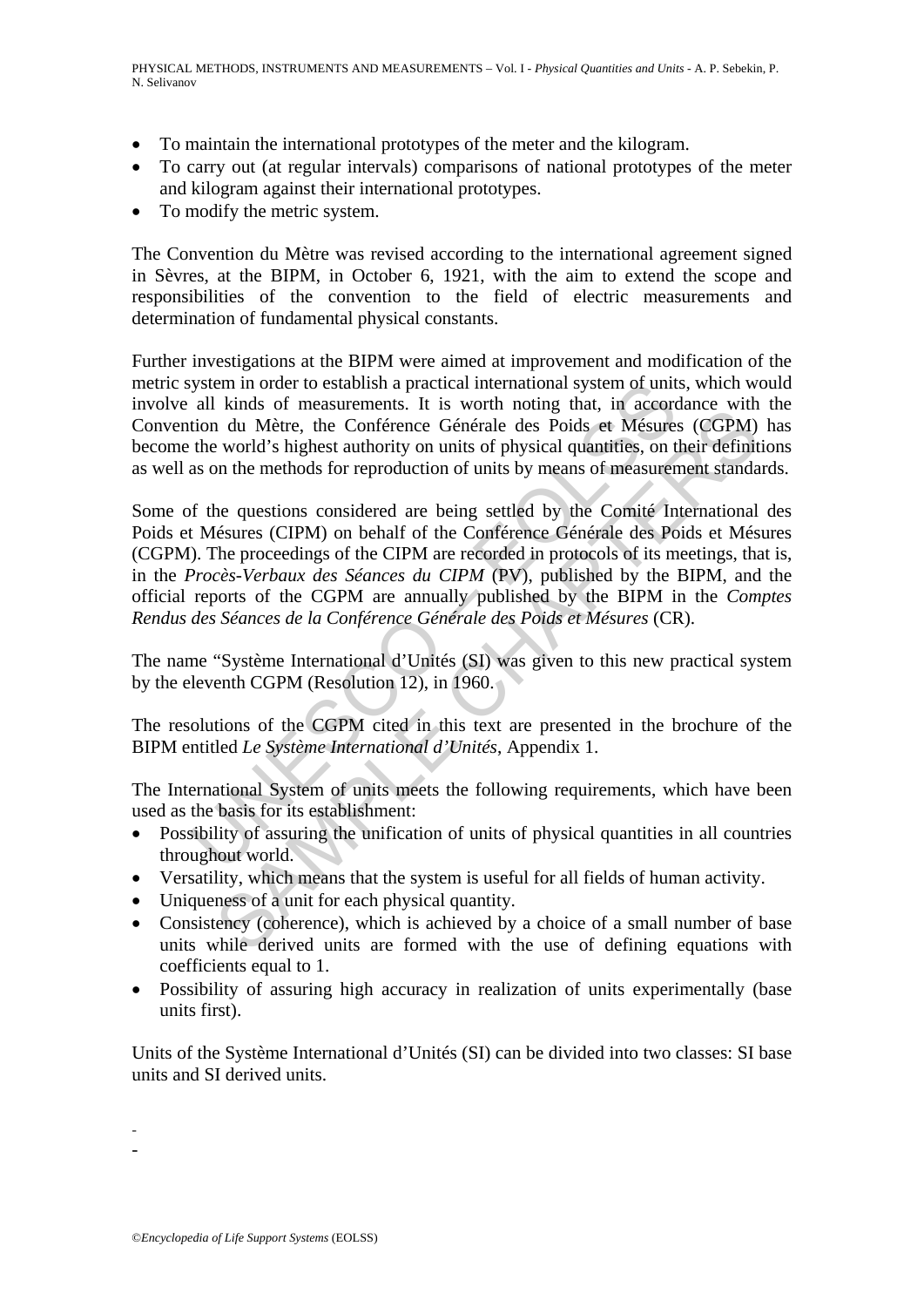- To maintain the international prototypes of the meter and the kilogram.
- To carry out (at regular intervals) comparisons of national prototypes of the meter and kilogram against their international prototypes.
- To modify the metric system.

The Convention du Mètre was revised according to the international agreement signed in Sèvres, at the BIPM, in October 6, 1921, with the aim to extend the scope and responsibilities of the convention to the field of electric measurements and determination of fundamental physical constants.

Further investigations at the BIPM were aimed at improvement and modification of the metric system in order to establish a practical international system of units, which would involve all kinds of measurements. It is worth noting that, in accordance with the Convention du Mètre, the Conférence Générale des Poids et Mésures (CGPM) has become the world's highest authority on units of physical quantities, on their definitions as well as on the methods for reproduction of units by means of measurement standards.

all kinds of measurements. It is worth noting that all kinds of measurements. It is worth noting that, in accordination du Mètre, the Conference Générale des Poids et Mésures the world's highest authority on units of physi shows on incastancemas. It is wornt noting unat, in accourance with<br>a ratios of the Conference Genérale des Poids et Mésures (CGPM)<br>vorld's highest authority on units of physical quantities, on their definit<br>on the method Some of the questions considered are being settled by the Comité International des Poids et Mésures (CIPM) on behalf of the Conférence Générale des Poids et Mésures (CGPM). The proceedings of the CIPM are recorded in protocols of its meetings, that is, in the *Procès-Verbaux des Séances du CIPM* (PV), published by the BIPM, and the official reports of the CGPM are annually published by the BIPM in the *Comptes Rendus des Séances de la Conférence Générale des Poids et Mésures* (CR).

The name "Système International d'Unités (SI) was given to this new practical system by the eleventh CGPM (Resolution 12), in 1960.

The resolutions of the CGPM cited in this text are presented in the brochure of the BIPM entitled *Le Système International d'Unités*, Appendix 1.

The International System of units meets the following requirements, which have been used as the basis for its establishment:

- Possibility of assuring the unification of units of physical quantities in all countries throughout world.
- Versatility, which means that the system is useful for all fields of human activity.
- Uniqueness of a unit for each physical quantity.
- Consistency (coherence), which is achieved by a choice of a small number of base units while derived units are formed with the use of defining equations with coefficients equal to 1.
- Possibility of assuring high accuracy in realization of units experimentally (base units first).

Units of the Système International d'Unités (SI) can be divided into two classes: SI base units and SI derived units.

- -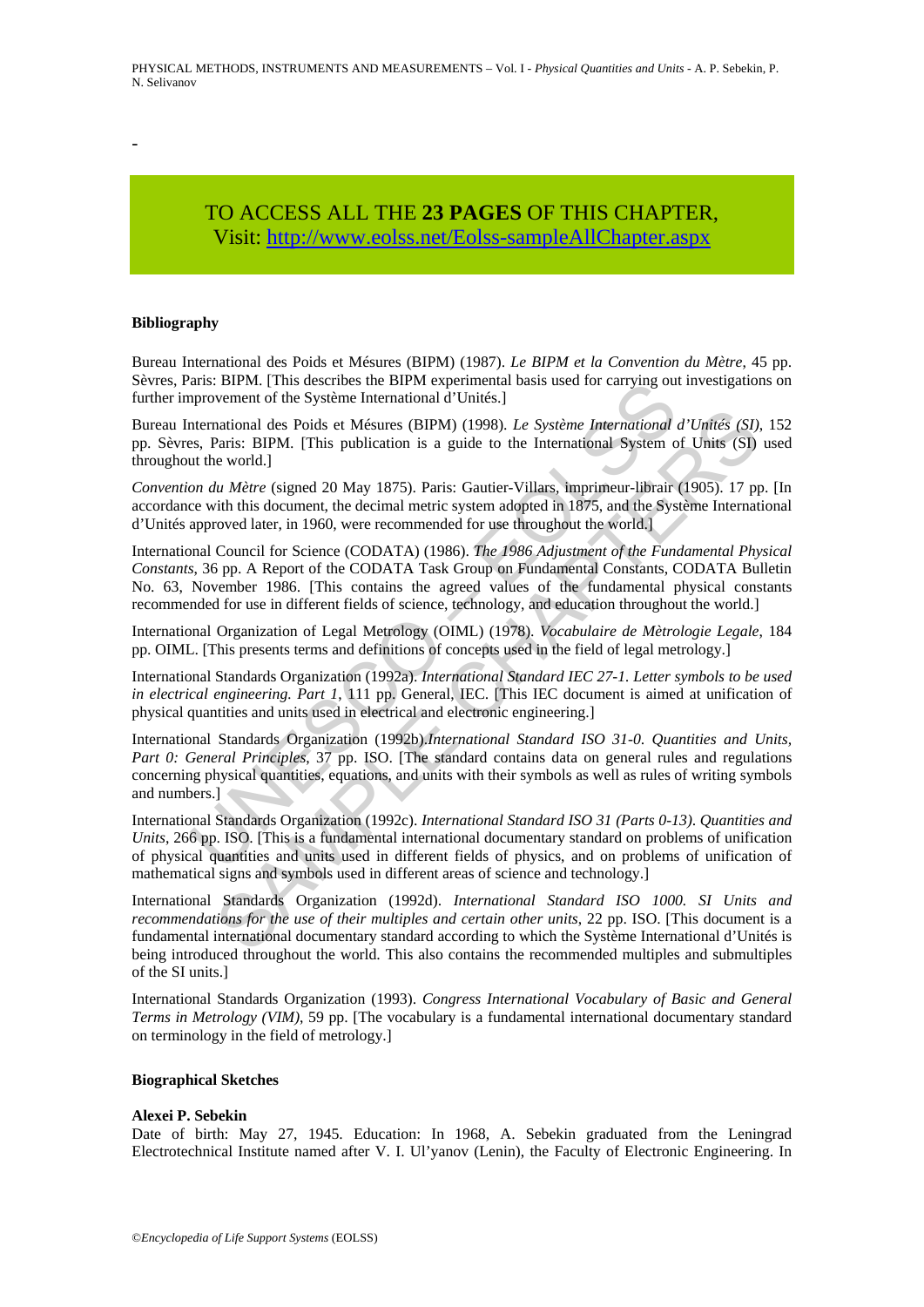-

## TO ACCESS ALL THE **23 PAGES** OF THIS CHAPTER, Visit[: http://www.eolss.net/Eolss-sampleAllChapter.aspx](https://www.eolss.net/ebooklib/sc_cart.aspx?File=E6-08-01-04)

#### **Bibliography**

Bureau International des Poids et Mésures (BIPM) (1987). *Le BIPM et la Convention du Mètre*, 45 pp. Sèvres, Paris: BIPM. [This describes the BIPM experimental basis used for carrying out investigations on further improvement of the Système International d'Unités.]

Bureau International des Poids et Mésures (BIPM) (1998). *Le Système International d'Unités (SI)*, 152 pp. Sèvres, Paris: BIPM. [This publication is a guide to the International System of Units (SI) used throughout the world.]

*Convention du Mètre* (signed 20 May 1875). Paris: Gautier-Villars, imprimeur-librair (1905). 17 pp. [In accordance with this document, the decimal metric system adopted in 1875, and the Système International d'Unités approved later, in 1960, were recommended for use throughout the world.]

aris: BirM. [1ms assertoss the BirM. That success the BirM. BirM. That success the BirM. That success the BirM. That success the Methemational d'Unités.]<br>International des Poids et Mésures (BIPM) (1998). Le Système Interna national des Poids et Mésures (BIPM) (1998). Le Système International d'Unités (SI)<br>Paris: BIPM. [This publication is a guide to the International System of Units (SI)<br>Paris: BIPM. [This publication is a guide to the Inte International Council for Science (CODATA) (1986). *The 1986 Adjustment of the Fundamental Physical Constants*, 36 pp. A Report of the CODATA Task Group on Fundamental Constants, CODATA Bulletin No. 63, November 1986. [This contains the agreed values of the fundamental physical constants recommended for use in different fields of science, technology, and education throughout the world.]

International Organization of Legal Metrology (OIML) (1978). *Vocabulaire de Mètrologie Legale*, 184 pp. OIML. [This presents terms and definitions of concepts used in the field of legal metrology.]

International Standards Organization (1992a). *International Standard IEC 27-1. Letter symbols to be used in electrical engineering. Part 1*, 111 pp. General, IEC. [This IEC document is aimed at unification of physical quantities and units used in electrical and electronic engineering.]

International Standards Organization (1992b).*International Standard ISO 31-0*. *Quantities and Units, Part 0: General Principles*, 37 pp. ISO. [The standard contains data on general rules and regulations concerning physical quantities, equations, and units with their symbols as well as rules of writing symbols and numbers.]

International Standards Organization (1992c). *International Standard ISO 31 (Parts 0-13)*. *Quantities and Units*, 266 pp. ISO. [This is a fundamental international documentary standard on problems of unification of physical quantities and units used in different fields of physics, and on problems of unification of mathematical signs and symbols used in different areas of science and technology.]

International Standards Organization (1992d). *International Standard ISO 1000. SI Units and recommendations for the use of their multiples and certain other units*, 22 pp. ISO. [This document is a fundamental international documentary standard according to which the Système International d'Unités is being introduced throughout the world. This also contains the recommended multiples and submultiples of the SI units.]

International Standards Organization (1993). *Congress International Vocabulary of Basic and General Terms in Metrology (VIM)*, 59 pp. [The vocabulary is a fundamental international documentary standard on terminology in the field of metrology.]

#### **Biographical Sketches**

#### **Alexei P. Sebekin**

Date of birth: May 27, 1945. Education: In 1968, A. Sebekin graduated from the Leningrad Electrotechnical Institute named after V. I. Ul'yanov (Lenin), the Faculty of Electronic Engineering. In